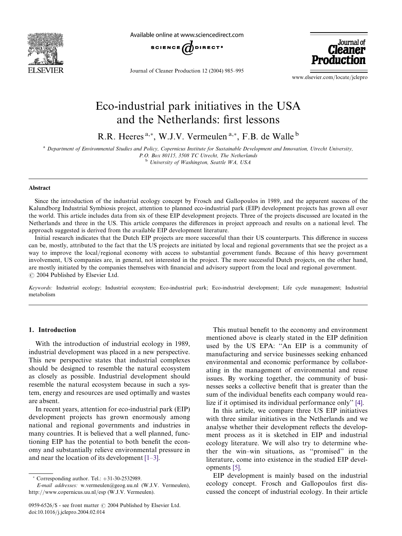

Available online at www.sciencedirect.com



Journal of Cleaner Production 12 (2004) 985–995

Journal of **Cleaner** Production

www.elsevier.com/locate/jclepro

# Eco-industrial park initiatives in the USA and the Netherlands: first lessons

R.R. Heeres<sup>a,\*</sup>, W.J.V. Vermeulen<sup>a,\*</sup>, F.B. de Walle<sup>b</sup>

a Department of Environmental Studies and Policy, Copernicus Institute for Sustainable Development and Innovation, Utrecht University, P.O. Box 80115, 3508 TC Utrecht, The Netherlands

<sup>b</sup> University of Washington, Seattle WA, USA

### Abstract

Since the introduction of the industrial ecology concept by Frosch and Gallopoulos in 1989, and the apparent success of the Kalundborg Industrial Symbiosis project, attention to planned eco-industrial park (EIP) development projects has grown all over the world. This article includes data from six of these EIP development projects. Three of the projects discussed are located in the Netherlands and three in the US. This article compares the differences in project approach and results on a national level. The approach suggested is derived from the available EIP development literature.

Initial research indicates that the Dutch EIP projects are more successful than their US counterparts. This difference in success can be, mostly, attributed to the fact that the US projects are initiated by local and regional governments that see the project as a way to improve the local/regional economy with access to substantial government funds. Because of this heavy government involvement, US companies are, in general, not interested in the project. The more successful Dutch projects, on the other hand, are mostly initiated by the companies themselves with financial and advisory support from the local and regional government.  $\odot$  2004 Published by Elsevier Ltd.

Keywords: Industrial ecology; Industrial ecosystem; Eco-industrial park; Eco-industrial development; Life cycle management; Industrial metabolism

# 1. Introduction

With the introduction of industrial ecology in 1989, industrial development was placed in a new perspective. This new perspective states that industrial complexes should be designed to resemble the natural ecosystem as closely as possible. Industrial development should resemble the natural ecosystem because in such a system, energy and resources are used optimally and wastes are absent.

In recent years, attention for eco-industrial park (EIP) development projects has grown enormously among national and regional governments and industries in many countries. It is believed that a well planned, functioning EIP has the potential to both benefit the economy and substantially relieve environmental pressure in and near the location of its development [\[1–3\].](#page-9-0)

This mutual benefit to the economy and environment mentioned above is clearly stated in the EIP definition used by the US EPA: ''An EIP is a community of manufacturing and service businesses seeking enhanced environmental and economic performance by collaborating in the management of environmental and reuse issues. By working together, the community of businesses seeks a collective benefit that is greater than the sum of the individual benefits each company would realize if it optimised its individual performance only'' [\[4\].](#page-9-0)

In this article, we compare three US EIP initiatives with three similar initiatives in the Netherlands and we analyse whether their development reflects the development process as it is sketched in EIP and industrial ecology literature. We will also try to determine whether the win–win situations, as ''promised'' in the literature, come into existence in the studied EIP developments [\[5\]](#page-10-0).

EIP development is mainly based on the industrial ecology concept. Frosch and Gallopoulos first discussed the concept of industrial ecology. In their article

Corresponding author. Tel.: +31-30-2532989.

E-mail addresses: w.vermeulen@geog.uu.nl (W.J.V. Vermeulen), http://www.copernicus.uu.nl/esp (W.J.V. Vermeulen).

<sup>0959-6526/\$ -</sup> see front matter © 2004 Published by Elsevier Ltd. doi:10.1016/j.jclepro.2004.02.014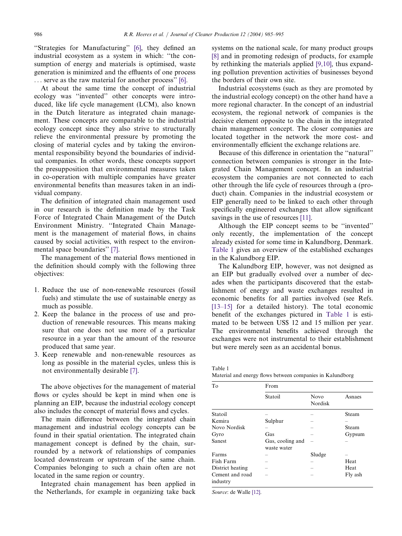''Strategies for Manufacturing'' [\[6\],](#page-10-0) they defined an industrial ecosystem as a system in which: ''the consumption of energy and materials is optimised, waste generation is minimized and the effluents of one process ... serve as the raw material for another process'' [\[6\].](#page-10-0)

At about the same time the concept of industrial ecology was ''invented'' other concepts were introduced, like life cycle management (LCM), also known in the Dutch literature as integrated chain management. These concepts are comparable to the industrial ecology concept since they also strive to structurally relieve the environmental pressure by promoting the closing of material cycles and by taking the environmental responsibility beyond the boundaries of individual companies. In other words, these concepts support the presupposition that environmental measures taken in co-operation with multiple companies have greater environmental benefits than measures taken in an individual company.

The definition of integrated chain management used in our research is the definition made by the Task Force of Integrated Chain Management of the Dutch Environment Ministry. ''Integrated Chain Management is the management of material flows, in chains caused by social activities, with respect to the environmental space boundaries'' [\[7\].](#page-10-0)

The management of the material flows mentioned in the definition should comply with the following three objectives:

- 1. Reduce the use of non-renewable resources (fossil fuels) and stimulate the use of sustainable energy as much as possible.
- 2. Keep the balance in the process of use and production of renewable resources. This means making sure that one does not use more of a particular resource in a year than the amount of the resource produced that same year.
- 3. Keep renewable and non-renewable resources as long as possible in the material cycles, unless this is not environmentally desirable [\[7\]](#page-10-0).

The above objectives for the management of material flows or cycles should be kept in mind when one is planning an EIP, because the industrial ecology concept also includes the concept of material flows and cycles.

The main difference between the integrated chain management and industrial ecology concepts can be found in their spatial orientation. The integrated chain management concept is defined by the chain, surrounded by a network of relationships of companies located downstream or upstream of the same chain. Companies belonging to such a chain often are not located in the same region or country.

Integrated chain management has been applied in the Netherlands, for example in organizing take back systems on the national scale, for many product groups [\[8\]](#page-10-0) and in promoting redesign of products, for example by rethinking the materials applied [\[9,10\]](#page-10-0), thus expanding pollution prevention activities of businesses beyond the borders of their own site.

Industrial ecosystems (such as they are promoted by the industrial ecology concept) on the other hand have a more regional character. In the concept of an industrial ecosystem, the regional network of companies is the decisive element opposite to the chain in the integrated chain management concept. The closer companies are located together in the network the more cost- and environmentally efficient the exchange relations are.

Because of this difference in orientation the ''natural'' connection between companies is stronger in the Integrated Chain Management concept. In an industrial ecosystem the companies are not connected to each other through the life cycle of resources through a (product) chain. Companies in the industrial ecosystem or EIP generally need to be linked to each other through specifically engineered exchanges that allow significant savings in the use of resources [\[11\]](#page-10-0).

Although the EIP concept seems to be ''invented'' only recently, the implementation of the concept already existed for some time in Kalundborg, Denmark. Table 1 gives an overview of the established exchanges in the Kalundborg EIP.

The Kalundborg EIP, however, was not designed as an EIP but gradually evolved over a number of decades when the participants discovered that the establishment of energy and waste exchanges resulted in economic benefits for all parties involved (see Refs. [\[13–15\]](#page-10-0) for a detailed history). The total economic benefit of the exchanges pictured in Table 1 is estimated to be between US\$ 12 and 15 million per year. The environmental benefits achieved through the exchanges were not instrumental to their establishment but were merely seen as an accidental bonus.

|--|--|

| Material and energy flows between companies in Kalundborg |  |
|-----------------------------------------------------------|--|
|-----------------------------------------------------------|--|

| To                          | From                            |                        |         |  |  |
|-----------------------------|---------------------------------|------------------------|---------|--|--|
|                             | Statoil                         | <b>Novo</b><br>Nordisk | Asnaes  |  |  |
| Statoil                     |                                 |                        | Steam   |  |  |
| Kemira                      | Sulphur                         |                        |         |  |  |
| Novo Nordisk                |                                 |                        | Steam   |  |  |
| Gyro                        | Gas                             |                        | Gypsum  |  |  |
| <b>Sanest</b>               | Gas, cooling and<br>waste water |                        |         |  |  |
| Farms                       |                                 | Sludge                 |         |  |  |
| Fish Farm                   |                                 |                        | Heat    |  |  |
| District heating            |                                 |                        | Heat    |  |  |
| Cement and road<br>industry |                                 |                        | Fly ash |  |  |

Source: de Walle [\[12\]](#page-10-0).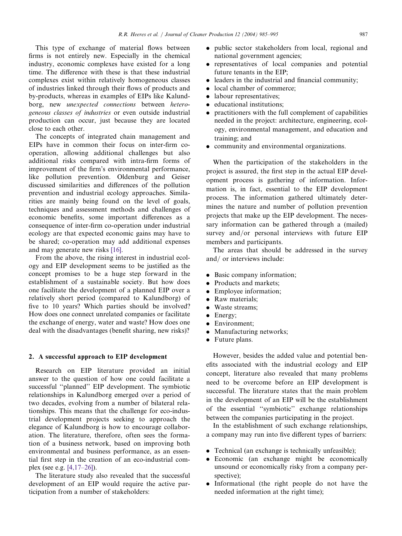This type of exchange of material flows between firms is not entirely new. Especially in the chemical industry, economic complexes have existed for a long time. The difference with these is that these industrial complexes exist within relatively homogeneous classes of industries linked through their flows of products and by-products, whereas in examples of EIPs like Kalundborg, new unexpected connections between heterogeneous classes of industries or even outside industrial production can occur, just because they are located close to each other.

The concepts of integrated chain management and EIPs have in common their focus on inter-firm cooperation, allowing additional challenges but also additional risks compared with intra-firm forms of improvement of the firm's environmental performance, like pollution prevention. Oldenburg and Geiser discussed similarities and differences of the pollution prevention and industrial ecology approaches. Similarities are mainly being found on the level of goals, techniques and assessment methods and challenges of economic benefits, some important differences as a consequence of inter-firm co-operation under industrial ecology are that expected economic gains may have to be shared; co-operation may add additional expenses and may generate new risks [\[16\].](#page-10-0)

From the above, the rising interest in industrial ecology and EIP development seems to be justified as the concept promises to be a huge step forward in the establishment of a sustainable society. But how does one facilitate the development of a planned EIP over a relatively short period (compared to Kalundborg) of five to 10 years? Which parties should be involved? How does one connect unrelated companies or facilitate the exchange of energy, water and waste? How does one deal with the disadvantages (benefit sharing, new risks)?

## 2. A successful approach to EIP development

Research on EIP literature provided an initial answer to the question of how one could facilitate a successful ''planned'' EIP development. The symbiotic relationships in Kalundborg emerged over a period of two decades, evolving from a number of bilateral relationships. This means that the challenge for eco-industrial development projects seeking to approach the elegance of Kalundborg is how to encourage collaboration. The literature, therefore, often sees the formation of a business network, based on improving both environmental and business performance, as an essential first step in the creation of an eco-industrial complex (see e.g. [\[4,17–26\]\)](#page-9-0).

The literature study also revealed that the successful development of an EIP would require the active participation from a number of stakeholders:

- . public sector stakeholders from local, regional and national government agencies;
- . representatives of local companies and potential future tenants in the EIP;
- . leaders in the industrial and financial community;
- . local chamber of commerce;
- labour representatives:
- . educational institutions;
- . practitioners with the full complement of capabilities needed in the project: architecture, engineering, ecology, environmental management, and education and training; and
- . community and environmental organizations.

When the participation of the stakeholders in the project is assured, the first step in the actual EIP development process is gathering of information. Information is, in fact, essential to the EIP development process. The information gathered ultimately determines the nature and number of pollution prevention projects that make up the EIP development. The necessary information can be gathered through a (mailed) survey and/or personal interviews with future EIP members and participants.

The areas that should be addressed in the survey and/ or interviews include:

- . Basic company information;
- Products and markets;
- Employee information:
- Raw materials;
- . Waste streams;
- Energy;
- Environment:
- . Manufacturing networks;
- Future plans.

However, besides the added value and potential benefits associated with the industrial ecology and EIP concept, literature also revealed that many problems need to be overcome before an EIP development is successful. The literature states that the main problem in the development of an EIP will be the establishment of the essential ''symbiotic'' exchange relationships between the companies participating in the project.

In the establishment of such exchange relationships, a company may run into five different types of barriers:

- . Technical (an exchange is technically unfeasible);
- . Economic (an exchange might be economically unsound or economically risky from a company perspective);
- . Informational (the right people do not have the needed information at the right time);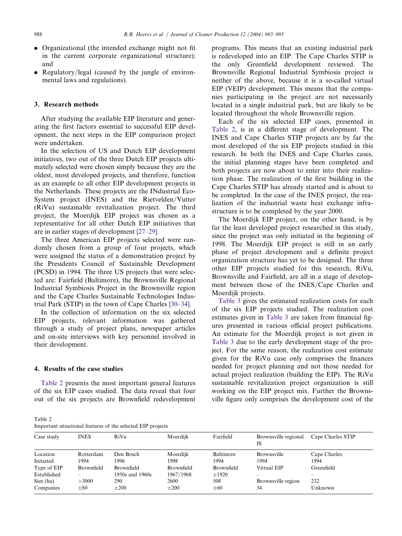- . Organizational (the intended exchange might not fit in the current corporate organizational structure); and
- . Regulatory/legal (caused by the jungle of environmental laws and regulations).

### 3. Research methods

After studying the available EIP literature and generating the first factors essential to successful EIP development, the next steps in the EIP comparison project were undertaken.

In the selection of US and Dutch EIP development initiatives, two out of the three Dutch EIP projects ultimately selected were chosen simply because they are the oldest, most developed projects, and therefore, function as an example to all other EIP development projects in the Netherlands. These projects are the INdustrial Eco-System project (INES) and the Rietvelden/Vutter (RiVu) sustainable revitalization project. The third project, the Moerdijk EIP project was chosen as a representative for all other Dutch EIP initiatives that are in earlier stages of development [\[27–29\].](#page-10-0)

The three American EIP projects selected were randomly chosen from a group of four projects, which were assigned the status of a demonstration project by the Presidents Council of Sustainable Development (PCSD) in 1994. The three US projects that were selected are: Fairfield (Baltimore), the Brownsville Regional Industrial Symbiosis Project in the Brownsville region and the Cape Charles Sustainable Technologies Industrial Park (STIP) in the town of Cape Charles [\[30–34\].](#page-10-0)

In the collection of information on the six selected EIP projects, relevant information was gathered through a study of project plans, newspaper articles and on-site interviews with key personnel involved in their development.

### 4. Results of the case studies

Table 2 presents the most important general features of the six EIP cases studied. The data reveal that four out of the six projects are Brownfield redevelopment

Table 2 Important situational features of the selected EIP projects

programs. This means that an existing industrial park is redeveloped into an EIP. The Cape Charles STIP is the only Greenfield development reviewed. The Brownsville Regional Industrial Symbiosis project is neither of the above, because it is a so-called virtual EIP (VEIP) development. This means that the companies participating in the project are not necessarily located in a single industrial park, but are likely to be located throughout the whole Brownsville region.

Each of the six selected EIP cases, presented in Table 2, is in a different stage of development. The INES and Cape Charles STIP projects are by far the most developed of the six EIP projects studied in this research. In both the INES and Cape Charles cases, the initial planning stages have been completed and both projects are now about to enter into their realization phase. The realization of the first building in the Cape Charles STIP has already started and is about to be completed. In the case of the INES project, the realization of the industrial waste heat exchange infrastructure is to be completed by the year 2000.

The Moerdijk EIP project, on the other hand, is by far the least developed project researched in this study, since the project was only initiated in the beginning of 1998. The Moerdijk EIP project is still in an early phase of project development and a definite project organization structure has yet to be designed. The three other EIP projects studied for this research, RiVu, Brownsville and Fairfield, are all in a stage of development between those of the INES/Cape Charles and Moerdijk projects.

[Table 3](#page-4-0) gives the estimated realization costs for each of the six EIP projects studied. The realization cost estimates given in [Table 3](#page-4-0) are taken from financial figures presented in various official project publications. An estimate for the Moerdijk project is not given in [Table 3](#page-4-0) due to the early development stage of the project. For the same reason, the realization cost estimate given for the RiVu case only comprises the finances needed for project planning and not those needed for actual project realization (building the EIP). The RiVu sustainable revitalization project organization is still working on the EIP project mix. Further the Brownsville figure only comprises the development cost of the

| Case study  | <b>INES</b> | RiVu            | Moerdijk   | Fairfield  | Brownsville regional<br>IS | Cape Charles STIP |
|-------------|-------------|-----------------|------------|------------|----------------------------|-------------------|
| Location    | Rotterdam   | Den Bosch       | Moerdijk   | Baltimore  | Brownsville                | Cape Charles      |
| Initiated   | 1994        | 1996            | 1998       | 1994       | 1994                       | 1994              |
| Type of EIP | Brownfield  | Brownfield      | Brownfield | Brownfield | Virtual EIP                | Greenfield        |
| Established | $\sim$      | 1950s and 1960s | 1967/1968  | $\pm 1920$ |                            |                   |
| Size (ha)   | >3000       | 290             | 2600       | 508        | Brownsville region         | 232               |
| Companies   | $\pm 80$    | $\pm 200$       | $+200$     | $\pm 60$   | 34                         | Unknown           |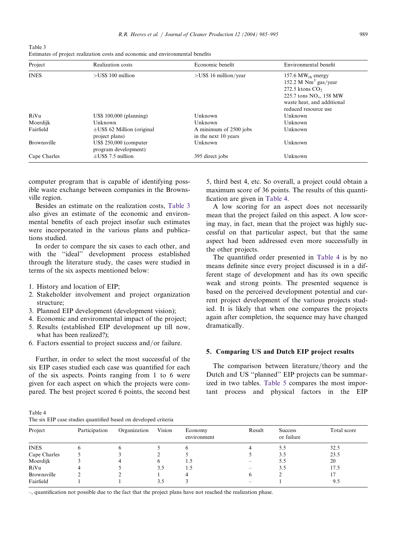<span id="page-4-0"></span>Table 3 Estimates of project realization costs and economic and environmental benefits

| Project            | <b>Realization</b> costs                          | Economic benefit                               | Environmental benefit                                                                                                                                     |
|--------------------|---------------------------------------------------|------------------------------------------------|-----------------------------------------------------------------------------------------------------------------------------------------------------------|
| <b>INES</b>        | $>$ US\$ 100 million                              | $>$ US\$ 16 million/year                       | 157.6 $MW_{th}$ energy<br>152.2 M $Nm3$ gas/year<br>272.5 ktons $CO2$<br>225.7 tons $NO_x$ , 158 MW<br>waste heat, and additional<br>reduced resource use |
| RiVu               | US\$ $100,000$ (planning)                         | Unknown                                        | Unknown                                                                                                                                                   |
| Moerdijk           | Unknown                                           | Unknown                                        | Unknown                                                                                                                                                   |
| Fairfield          | $\pm$ US\$ 62 Million (original<br>project plans) | A minimum of 2500 jobs<br>in the next 10 years | Unknown                                                                                                                                                   |
| <b>Brownsville</b> | US\$ 250,000 (computer<br>program development)    | Unknown                                        | Unknown                                                                                                                                                   |
| Cape Charles       | $\pm$ US\$ 7.5 million                            | 395 direct jobs                                | Unknown                                                                                                                                                   |

computer program that is capable of identifying possible waste exchange between companies in the Brownsville region.

Besides an estimate on the realization costs, Table 3 also gives an estimate of the economic and environmental benefits of each project insofar such estimates were incorporated in the various plans and publications studied.

In order to compare the six cases to each other, and with the ''ideal'' development process established through the literature study, the cases were studied in terms of the six aspects mentioned below:

- 1. History and location of EIP;
- 2. Stakeholder involvement and project organization structure;
- 3. Planned EIP development (development vision);
- 4. Economic and environmental impact of the project;
- 5. Results (established EIP development up till now, what has been realized?);
- 6. Factors essential to project success and/or failure.

Further, in order to select the most successful of the six EIP cases studied each case was quantified for each of the six aspects. Points ranging from 1 to 6 were given for each aspect on which the projects were compared. The best project scored 6 points, the second best 5, third best 4, etc. So overall, a project could obtain a maximum score of 36 points. The results of this quantification are given in Table 4.

A low scoring for an aspect does not necessarily mean that the project failed on this aspect. A low scoring may, in fact, mean that the project was highly successful on that particular aspect, but that the same aspect had been addressed even more successfully in the other projects.

The quantified order presented in Table 4 is by no means definite since every project discussed is in a different stage of development and has its own specific weak and strong points. The presented sequence is based on the perceived development potential and current project development of the various projects studied. It is likely that when one compares the projects again after completion, the sequence may have changed dramatically.

# 5. Comparing US and Dutch EIP project results

The comparison between literature/theory and the Dutch and US ''planned'' EIP projects can be summarized in two tables. [Table 5](#page-5-0) compares the most important process and physical factors in the EIP

Table 4 The six EIP case studies quantified based on developed criteria

| Project      | Participation | Organization | Vision | Economy<br>environment | Result | <b>Success</b><br>or failure | Total score |
|--------------|---------------|--------------|--------|------------------------|--------|------------------------------|-------------|
| <b>INES</b>  |               | O            |        |                        |        | 5.5                          | 32.5        |
| Cape Charles |               |              |        |                        |        | 3.5                          | 23.5        |
| Moerdijk     |               |              |        | 1.5                    |        | 5.5                          | 20          |
| RiVu         |               |              | 3.5    | 1.5                    |        | 3.5                          | 17.5        |
| Brownsville  |               |              |        |                        |        |                              |             |
| Fairfield    |               |              | 3.5    |                        |        |                              | 9.5         |

–, quantification not possible due to the fact that the project plans have not reached the realization phase.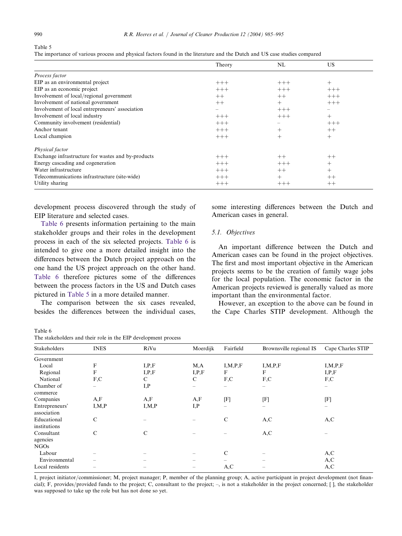#### <span id="page-5-0"></span>Table 5

The importance of various process and physical factors found in the literature and the Dutch and US case studies compared

|                                                    | Theory | NL     | US     |
|----------------------------------------------------|--------|--------|--------|
| Process factor                                     |        |        |        |
| EIP as an environmental project                    | $+++$  | $+++$  | $^{+}$ |
| EIP as an economic project                         | $+++$  | $+++$  | $+++$  |
| Involvement of local/regional government           | $++$   | $++$   | $+++$  |
| Involvement of national government                 | $++$   | $^{+}$ | $+++$  |
| Involvement of local entrepreneurs' association    |        | $+++$  |        |
| Involvement of local industry                      | $+++$  | $+++$  | $^{+}$ |
| Community involvement (residential)                | $+++$  |        | $+++$  |
| Anchor tenant                                      | $+++$  | $^+$   | $++$   |
| Local champion                                     | $+++$  | $^{+}$ | $^{+}$ |
| Physical factor                                    |        |        |        |
| Exchange infrastructure for wastes and by-products | $+++$  | $++$   | $++$   |
| Energy cascading and cogeneration                  | $+++$  | $+++$  | $^{+}$ |
| Water infrastructure                               | $+++$  | $++$   | $^{+}$ |
| Telecommunications infrastructure (site-wide)      | $+++$  | $^{+}$ | $++$   |
| Utility sharing                                    | $+++$  | $+++$  | $++$   |

development process discovered through the study of EIP literature and selected cases.

Table 6 presents information pertaining to the main stakeholder groups and their roles in the development process in each of the six selected projects. Table 6 is intended to give one a more detailed insight into the differences between the Dutch project approach on the one hand the US project approach on the other hand. Table 6 therefore pictures some of the differences between the process factors in the US and Dutch cases pictured in Table 5 in a more detailed manner.

The comparison between the six cases revealed, besides the differences between the individual cases,

Table 6 The stakeholders and their role in the EIP development process

some interesting differences between the Dutch and American cases in general.

# 5.1. Objectives

An important difference between the Dutch and American cases can be found in the project objectives. The first and most important objective in the American projects seems to be the creation of family wage jobs for the local population. The economic factor in the American projects reviewed is generally valued as more important than the environmental factor.

However, an exception to the above can be found in the Cape Charles STIP development. Although the

| Stakeholders    | <b>INES</b>              | RiVu                            | Moerdijk     | Fairfield                | Brownsville regional IS | Cape Charles STIP |
|-----------------|--------------------------|---------------------------------|--------------|--------------------------|-------------------------|-------------------|
| Government      |                          |                                 |              |                          |                         |                   |
| Local           | F                        | I.P.F                           | M,A          | I, M, P, F               | I, M, P, F              | I, M, P, F        |
| Regional        | F                        | I, P, F                         | I, P, F      | F                        | F                       | I, P, F           |
| National        | F,C                      | $\mathcal{C}$                   | $\mathsf{C}$ | F,C                      | F,C                     | F,C               |
| Chamber of      | $\overline{\phantom{0}}$ | I, P                            |              |                          |                         |                   |
| commerce        |                          |                                 |              |                          |                         |                   |
| Companies       | A,F                      | A, F                            | A,F          | $[{\rm F}]$              | [F]                     | $[{\rm F}]$       |
| Entrepreneurs'  | I, M, P                  | I, M, P                         | I, P         | $\overline{\phantom{0}}$ |                         |                   |
| association     |                          |                                 |              |                          |                         |                   |
| Educational     | C                        |                                 |              | $\mathcal{C}$            | A, C                    | A, C              |
| institutions    |                          |                                 |              |                          |                         |                   |
| Consultant      | $\mathcal{C}$            | $\mathbf C$                     |              |                          | A, C                    |                   |
| agencies        |                          |                                 |              |                          |                         |                   |
| <b>NGOs</b>     |                          |                                 |              |                          |                         |                   |
| Labour          | $\overline{\phantom{0}}$ | $\hspace{0.1mm}-\hspace{0.1mm}$ |              | $\mathcal{C}$            |                         | A, C              |
| Environmental   |                          |                                 |              |                          |                         | A, C              |
| Local residents |                          |                                 |              | A, C                     |                         | A, C              |

I, project initiator/commissioner; M, project manager; P, member of the planning group; A, active participant in project development (not financial); F, provides/provided funds to the project; C, consultant to the project;  $-$ , is not a stakeholder in the project concerned; [], the stakeholder was supposed to take up the role but has not done so yet.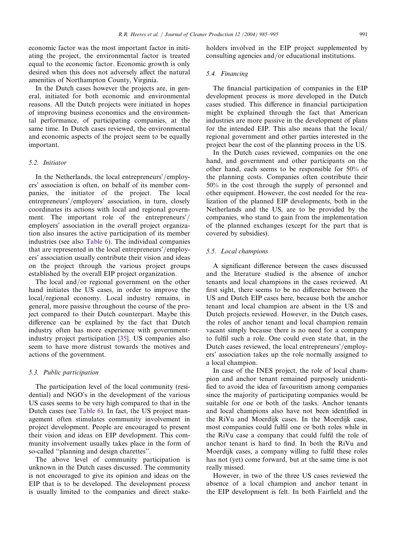economic factor was the most important factor in initiating the project, the environmental factor is treated equal to the economic factor. Economic growth is only desired when this does not adversely affect the natural amenities of Northampton County, Virginia.

In the Dutch cases however the projects are, in general, initiated for both economic and environmental reasons. All the Dutch projects were initiated in hopes of improving business economics and the environmental performance, of participating companies, at the same time. In Dutch cases reviewed, the environmental and economic aspects of the project seem to be equally important.

# 5.2. Initiator

In the Netherlands, the local entrepreneurs'/employers' association is often, on behalf of its member companies, the initiator of the project. The local entrepreneurs'/employers' association, in turn, closely coordinates its actions with local and regional government. The important role of the entrepreneurs'/ employers' association in the overall project organization also insures the active participation of its member industries (see also [Table 6](#page-5-0)). The individual companies that are represented in the local entrepreneurs'/employers' association usually contribute their vision and ideas on the project through the various project groups established by the overall EIP project organization.

The local and/or regional government on the other hand initiates the US cases, in order to improve the local/regional economy. Local industry remains, in general, more passive throughout the course of the project compared to their Dutch counterpart. Maybe this difference can be explained by the fact that Dutch industry often has more experience with governmentindustry project participation [\[35\]](#page-10-0). US companies also seem to have more distrust towards the motives and actions of the government.

## 5.3. Public participation

The participation level of the local community (residential) and NGO's in the development of the various US cases seems to be very high compared to that in the Dutch cases (see [Table 6](#page-5-0)). In fact, the US project management often stimulates community involvement in project development. People are encouraged to present their vision and ideas on EIP development. This community involvement usually takes place in the form of so-called ''planning and design charettes''.

The above level of community participation is unknown in the Dutch cases discussed. The community is not encouraged to give its opinion and ideas on the EIP that is to be developed. The development process is usually limited to the companies and direct stakeholders involved in the EIP project supplemented by consulting agencies and/or educational institutions.

# 5.4. Financing

The financial participation of companies in the EIP development process is more developed in the Dutch cases studied. This difference in financial participation might be explained through the fact that American industries are more passive in the development of plans for the intended EIP. This also means that the local/ regional government and other parties interested in the project bear the cost of the planning process in the US.

In the Dutch cases reviewed, companies on the one hand, and government and other participants on the other hand, each seems to be responsible for 50% of the planning costs. Companies often contribute their 50% in the cost through the supply of personnel and other equipment. However, the cost needed for the realization of the planned EIP developments, both in the Netherlands and the US, are to be provided by the companies, who stand to gain from the implementation of the planned exchanges (except for the part that is covered by subsidies).

# 5.5. Local champions

A significant difference between the cases discussed and the literature studied is the absence of anchor tenants and local champions in the cases reviewed. At first sight, there seems to be no difference between the US and Dutch EIP cases here, because both the anchor tenant and local champion are absent in the US and Dutch projects reviewed. However, in the Dutch cases, the roles of anchor tenant and local champion remain vacant simply because there is no need for a company to fulfil such a role. One could even state that, in the Dutch cases reviewed, the local entrepreneurs'/employers' association takes up the role normally assigned to a local champion.

In case of the INES project, the role of local champion and anchor tenant remained purposely unidentified to avoid the idea of favouritism among companies since the majority of participating companies would be suitable for one or both of the tasks. Anchor tenants and local champions also have not been identified in the RiVu and Moerdijk cases. In the Moerdijk case, most companies could fulfil one or both roles while in the RiVu case a company that could fulfil the role of anchor tenant is hard to find. In both the RiVu and Moerdijk cases, a company willing to fulfil these roles has not (yet) come forward, but at the same time is not really missed.

However, in two of the three US cases reviewed the absence of a local champion and anchor tenant in the EIP development is felt. In both Fairfield and the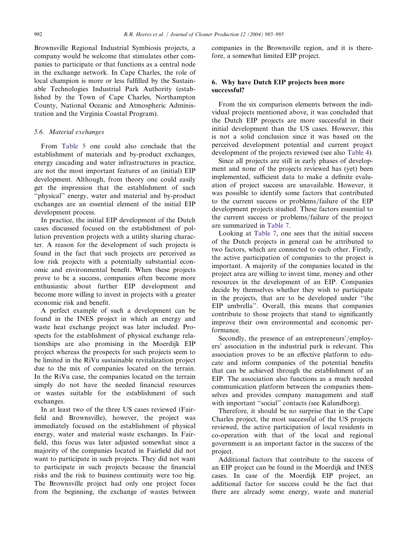Brownsville Regional Industrial Symbiosis projects, a company would be welcome that stimulates other companies to participate or that functions as a central node in the exchange network. In Cape Charles, the role of local champion is more or less fulfilled by the Sustainable Technologies Industrial Park Authority (established by the Town of Cape Charles, Northampton County, National Oceanic and Atmospheric Administration and the Virginia Coastal Program).

# 5.6. Material exchanges

From [Table 5](#page-5-0) one could also conclude that the establishment of materials and by-product exchanges, energy cascading and water infrastructures in practice, are not the most important features of an (initial) EIP development. Although, from theory one could easily get the impression that the establishment of such "physical" energy, water and material and by-product exchanges are an essential element of the initial EIP development process.

In practice, the initial EIP development of the Dutch cases discussed focused on the establishment of pollution prevention projects with a utility sharing character. A reason for the development of such projects is found in the fact that such projects are perceived as low risk projects with a potentially substantial economic and environmental benefit. When these projects prove to be a success, companies often become more enthusiastic about further EIP development and become more willing to invest in projects with a greater economic risk and benefit.

A perfect example of such a development can be found in the INES project in which an energy and waste heat exchange project was later included. Prospects for the establishment of physical exchange relationships are also promising in the Moerdijk EIP project whereas the prospects for such projects seem to be limited in the RiVu sustainable revitalization project due to the mix of companies located on the terrain. In the RiVu case, the companies located on the terrain simply do not have the needed financial resources or wastes suitable for the establishment of such exchanges.

In at least two of the three US cases reviewed (Fairfield and Brownsville), however, the project was immediately focused on the establishment of physical energy, water and material waste exchanges. In Fairfield, this focus was later adjusted somewhat since a majority of the companies located in Fairfield did not want to participate in such projects. They did not want to participate in such projects because the financial risks and the risk to business continuity were too big. The Brownsville project had only one project focus from the beginning, the exchange of wastes between

companies in the Brownsville region, and it is therefore, a somewhat limited EIP project.

# 6. Why have Dutch EIP projects been more successful?

From the six comparison elements between the individual projects mentioned above, it was concluded that the Dutch EIP projects are more successful in their initial development than the US cases. However, this is not a solid conclusion since it was based on the perceived development potential and current project development of the projects reviewed (see also [Table 4\)](#page-4-0).

Since all projects are still in early phases of development and none of the projects reviewed has (yet) been implemented, sufficient data to make a definite evaluation of project success are unavailable. However, it was possible to identify some factors that contributed to the current success or problems/failure of the EIP development projects studied. These factors essential to the current success or problems/failure of the project are summarized in [Table 7.](#page-8-0)

Looking at [Table 7](#page-8-0), one sees that the initial success of the Dutch projects in general can be attributed to two factors, which are connected to each other. Firstly, the active participation of companies to the project is important. A majority of the companies located in the project area are willing to invest time, money and other resources in the development of an EIP. Companies decide by themselves whether they wish to participate in the projects, that are to be developed under ''the EIP umbrella''. Overall, this means that companies contribute to those projects that stand to significantly improve their own environmental and economic performance.

Secondly, the presence of an entrepreneurs'/employers' association in the industrial park is relevant. This association proves to be an effective platform to educate and inform companies of the potential benefits that can be achieved through the establishment of an EIP. The association also functions as a much needed communication platform between the companies themselves and provides company management and staff with important ''social'' contacts (see Kalundborg).

Therefore, it should be no surprise that in the Cape Charles project, the most successful of the US projects reviewed, the active participation of local residents in co-operation with that of the local and regional government is an important factor in the success of the project.

Additional factors that contribute to the success of an EIP project can be found in the Moerdijk and INES cases. In case of the Moerdijk EIP project, an additional factor for success could be the fact that there are already some energy, waste and material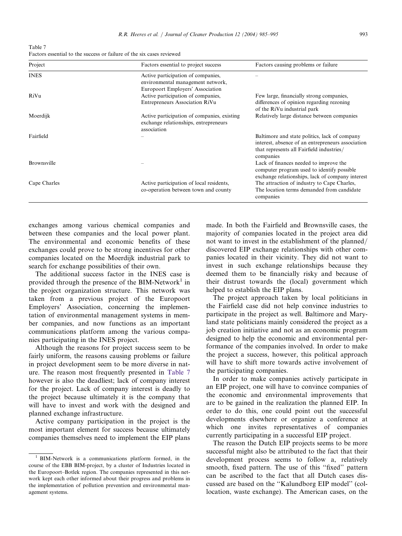<span id="page-8-0"></span>Table 7 Factors essential to the success or failure of the six cases reviewed

| Project      | Factors essential to project success                                                                        | Factors causing problems or failure                                                                                                                          |
|--------------|-------------------------------------------------------------------------------------------------------------|--------------------------------------------------------------------------------------------------------------------------------------------------------------|
| <b>INES</b>  | Active participation of companies,<br>environmental management network,<br>Europoort Employers' Association |                                                                                                                                                              |
| RiVu         | Active participation of companies,<br>Entrepreneurs Association RiVu                                        | Few large, financially strong companies,<br>differences of opinion regarding rezoning<br>of the RiVu industrial park                                         |
| Moerdijk     | Active participation of companies, existing<br>exchange relationships, entrepreneurs<br>association         | Relatively large distance between companies                                                                                                                  |
| Fairfield    |                                                                                                             | Baltimore and state politics, lack of company<br>interest, absence of an entrepreneurs association<br>that represents all Fairfield industries/<br>companies |
| Brownsville  |                                                                                                             | Lack of finances needed to improve the<br>computer program used to identify possible<br>exchange relationships, lack of company interest                     |
| Cape Charles | Active participation of local residents,<br>co-operation between town and county                            | The attraction of industry to Cape Charles,<br>The location terms demanded from candidate<br>companies                                                       |

exchanges among various chemical companies and between these companies and the local power plant. The environmental and economic benefits of these exchanges could prove to be strong incentives for other companies located on the Moerdijk industrial park to search for exchange possibilities of their own.

The additional success factor in the INES case is provided through the presence of the BIM-Network<sup>1</sup> in the project organization structure. This network was taken from a previous project of the Europoort Employers' Association, concerning the implementation of environmental management systems in member companies, and now functions as an important communications platform among the various companies participating in the INES project.

Although the reasons for project success seem to be fairly uniform, the reasons causing problems or failure in project development seem to be more diverse in nature. The reason most frequently presented in Table 7 however is also the deadliest; lack of company interest for the project. Lack of company interest is deadly to the project because ultimately it is the company that will have to invest and work with the designed and planned exchange infrastructure.

Active company participation in the project is the most important element for success because ultimately companies themselves need to implement the EIP plans made. In both the Fairfield and Brownsville cases, the majority of companies located in the project area did not want to invest in the establishment of the planned/ discovered EIP exchange relationships with other companies located in their vicinity. They did not want to invest in such exchange relationships because they deemed them to be financially risky and because of their distrust towards the (local) government which helped to establish the EIP plans.

The project approach taken by local politicians in the Fairfield case did not help convince industries to participate in the project as well. Baltimore and Maryland state politicians mainly considered the project as a job creation initiative and not as an economic program designed to help the economic and environmental performance of the companies involved. In order to make the project a success, however, this political approach will have to shift more towards active involvement of the participating companies.

In order to make companies actively participate in an EIP project, one will have to convince companies of the economic and environmental improvements that are to be gained in the realization the planned EIP. In order to do this, one could point out the successful developments elsewhere or organize a conference at which one invites representatives of companies currently participating in a successful EIP project.

The reason the Dutch EIP projects seems to be more successful might also be attributed to the fact that their development process seems to follow a, relatively smooth, fixed pattern. The use of this ''fixed'' pattern can be ascribed to the fact that all Dutch cases discussed are based on the ''Kalundborg EIP model'' (collocation, waste exchange). The American cases, on the

<sup>1</sup> BIM-Network is a communications platform formed, in the course of the EBB BIM-project, by a cluster of Industries located in the Europoort–Botlek region. The companies represented in this network kept each other informed about their progress and problems in the implementation of pollution prevention and environmental management systems.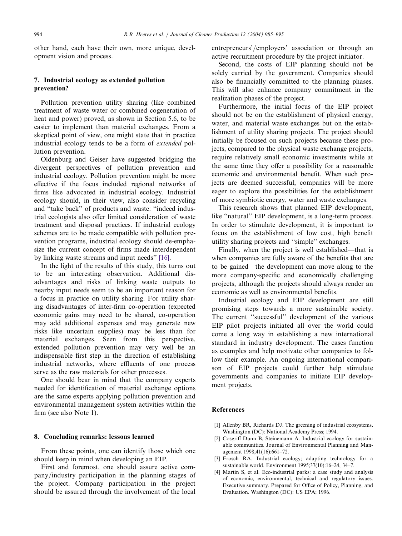<span id="page-9-0"></span>other hand, each have their own, more unique, development vision and process.

# 7. Industrial ecology as extended pollution prevention?

Pollution prevention utility sharing (like combined treatment of waste water or combined cogeneration of heat and power) proved, as shown in Section 5.6, to be easier to implement than material exchanges. From a skeptical point of view, one might state that in practice industrial ecology tends to be a form of extended pollution prevention.

Oldenburg and Geiser have suggested bridging the divergent perspectives of pollution prevention and industrial ecology. Pollution prevention might be more effective if the focus included regional networks of firms like advocated in industrial ecology. Industrial ecology should, in their view, also consider recycling and ''take back'' of products and waste: ''indeed industrial ecologists also offer limited consideration of waste treatment and disposal practices. If industrial ecology schemes are to be made compatible with pollution prevention programs, industrial ecology should de-emphasize the current concept of firms made interdependent by linking waste streams and input needs'' [\[16\].](#page-10-0)

In the light of the results of this study, this turns out to be an interesting observation. Additional disadvantages and risks of linking waste outputs to nearby input needs seem to be an important reason for a focus in practice on utility sharing. For utility sharing disadvantages of inter-firm co-operation (expected economic gains may need to be shared, co-operation may add additional expenses and may generate new risks like uncertain supplies) may be less than for material exchanges. Seen from this perspective, extended pollution prevention may very well be an indispensable first step in the direction of establishing industrial networks, where effluents of one process serve as the raw materials for other processes.

One should bear in mind that the company experts needed for identification of material exchange options are the same experts applying pollution prevention and environmental management system activities within the firm (see also Note 1).

# 8. Concluding remarks: lessons learned

From these points, one can identify those which one should keep in mind when developing an EIP.

First and foremost, one should assure active company/industry participation in the planning stages of the project. Company participation in the project should be assured through the involvement of the local

entrepreneurs'/employers' association or through an active recruitment procedure by the project initiator.

Second, the costs of EIP planning should not be solely carried by the government. Companies should also be financially committed to the planning phases. This will also enhance company commitment in the realization phases of the project.

Furthermore, the initial focus of the EIP project should not be on the establishment of physical energy, water, and material waste exchanges but on the establishment of utility sharing projects. The project should initially be focused on such projects because these projects, compared to the physical waste exchange projects, require relatively small economic investments while at the same time they offer a possibility for a reasonable economic and environmental benefit. When such projects are deemed successful, companies will be more eager to explore the possibilities for the establishment of more symbiotic energy, water and waste exchanges.

This research shows that planned EIP development, like "natural" EIP development, is a long-term process. In order to stimulate development, it is important to focus on the establishment of low cost, high benefit utility sharing projects and ''simple'' exchanges.

Finally, when the project is well established—that is when companies are fully aware of the benefits that are to be gained—the development can move along to the more company-specific and economically challenging projects, although the projects should always render an economic as well as environmental benefits.

Industrial ecology and EIP development are still promising steps towards a more sustainable society. The current "successful" development of the various EIP pilot projects initiated all over the world could come a long way in establishing a new international standard in industry development. The cases function as examples and help motivate other companies to follow their example. An ongoing international comparison of EIP projects could further help stimulate governments and companies to initiate EIP development projects.

## References

- [1] Allenby BR, Richards DJ. The greening of industrial ecosystems. Washington (DC): National Academy Press; 1994.
- [2] Cosgriff Dunn B, Steinemann A. Industrial ecology for sustainable communities. Journal of Environmental Planning and Management 1998;41(16):661–72.
- [3] Frosch RA. Industrial ecology; adapting technology for a sustainable world. Environment 1995;37(10):16–24, 34–7.
- [4] Martin S, et al. Eco-industrial parks: a case study and analysis of economic, environmental, technical and regulatory issues. Executive summary. Prepared for Office of Policy, Planning, and Evaluation. Washington (DC): US EPA; 1996.